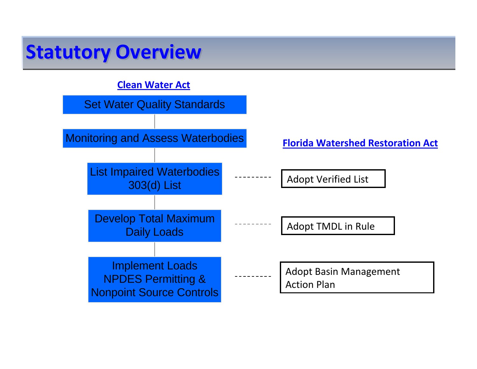## **Statutory Overview**

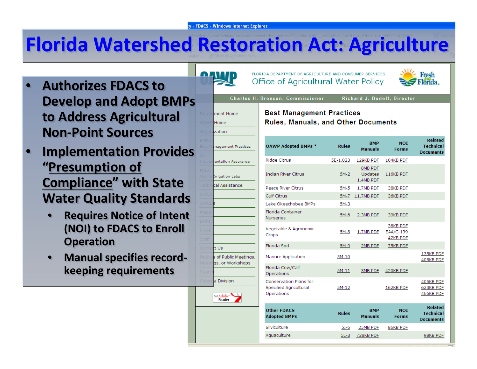# **Florida Watershed Restoration Act: Agriculture**

- • **Authorizes FDACS to Authorizes FDACS toDevelop and Adopt BMPs Develop and Adopt BMPs to Address Agricultural to Address Agricultural Non-Point Sources** •
- • **Implementation Provides Implementation Provides "Presumption of "Presumption of Compliance" with State Compliance" with State Water Quality Standards Water Quality Standards** •
	- • **Requires Notice of Intent Requires Notice of Intent (NOI) to FDACS to Enroll (NOI) to FDACS to Enroll Operation Operation** •
	- • **Manual specifies record‐ Manual specifies record‐ keeping requirements keeping requirements**•



nent Home

anement Practices

**Itation Assurance** 

igation Labs Assistance

'Us

a Division

Get Adobe<sup>-</sup><br>Reader

of Public Meetings as, or Workshops

lome zation FLORTDA DEPARTMENT OF AGRICULTURE AND CONSUMER SERVICES. Office of Agricultural Water Policy



**Charles H. Bronson. Commissioner Richard J. Budell, Director** 

#### **Best Management Practices Rules, Manuals, and Other Documents**

| <b>OAWP Adopted BMPs *</b>                                            | <b>Rules</b> | <b>BMP</b><br><b>Manuals</b>           | <b>NOT</b><br><b>Forms</b>        | <b>Related</b><br><b>Technical</b><br><b>Documents</b> |
|-----------------------------------------------------------------------|--------------|----------------------------------------|-----------------------------------|--------------------------------------------------------|
| Ridge Citrus                                                          | 5E-1.023     | 129KB PDF                              | 104KB PDF                         |                                                        |
| <b>Indian River Citrus</b>                                            | $5M-2$       | 8MB PDF<br><b>Updates</b><br>1.4MB PDF | 116KB PDF                         |                                                        |
| Peace River Citrus                                                    | 5M-5         | 1.7MB PDF                              | 38KB PDF                          |                                                        |
| <b>Gulf Citrus</b>                                                    | 5M-7         | 11.7MB PDF                             | 36KB PDF                          |                                                        |
| Lake Okeechobee BMPs                                                  | $5M-3$       |                                        |                                   |                                                        |
| Florida Container<br><b>Nurseries</b>                                 | $5M-6$       | 2.3MB PDF                              | 39KB PDF                          |                                                        |
| Vegetable & Agronomic<br>Crops                                        | $5M-8$       | 1.7MB PDF                              | 38KB PDF<br>EAA/C-139<br>42KB PDF |                                                        |
| Florida Sod                                                           | 5M-9         | 2MB PDF                                | 75KB PDF                          |                                                        |
| Manure Application                                                    | $5M-10$      |                                        |                                   | 135KB PDF<br>405KB PDF                                 |
| Florida Cow/Calf<br>Operations                                        | $5M-11$      | 3MB PDF                                | 420KB PDF                         |                                                        |
| <b>Conservation Plans for</b><br>Specified Agricultural<br>Operations | 5M-12        |                                        | 162KB PDF                         | 405KB PDF<br>623KB PDF<br>466KB PDF                    |
| <b>Other FDACS</b><br><b>Adopted BMPs</b>                             | <b>Rules</b> | <b>BMP</b><br><b>Manuals</b>           | <b>NOI</b><br><b>Forms</b>        | <b>Related</b><br><b>Technical</b><br><b>Documents</b> |
| Silviculture                                                          | $5I-6$       | 25MB PDF                               | 86KB PDF                          |                                                        |
| Aquaculture                                                           | $5L-3$       | 728KB PDF                              |                                   | 98KB PDF                                               |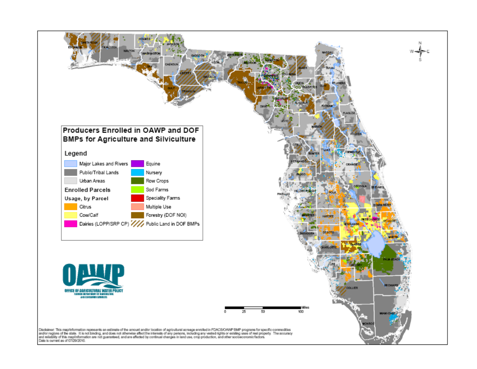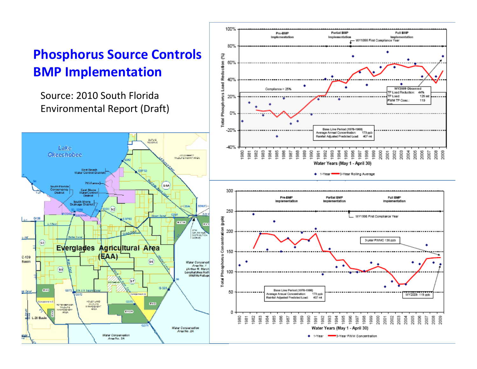### **Phosphorus Source Controls BMP Implementation**

Source: 2010 South Florida Environmental Report (Draft)



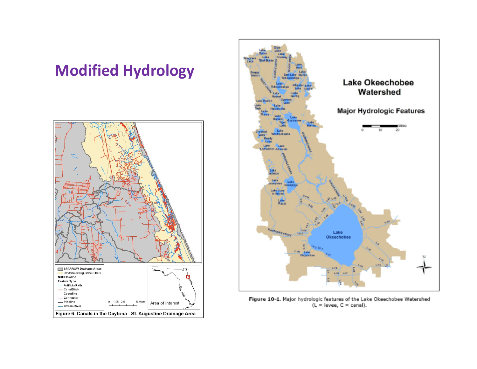### **Modified Hydrology**





Figure 10-1. Major hydrologic features of the Lake Okeechobee Watershed  $(L = |$ evee,  $C =$  canal).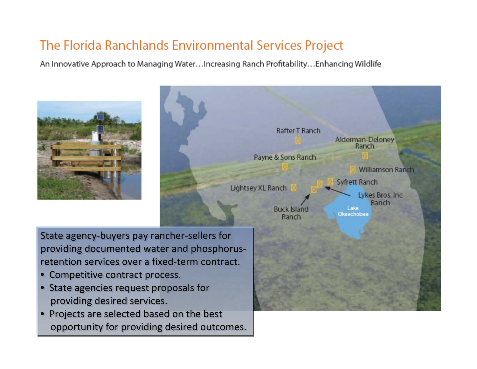### The Florida Ranchlands Environmental Services Project

An Innovative Approach to Managing Water...Increasing Ranch Profitability...Enhancing Wildlife





State agency‐buyers pay rancher‐sellers for State agency‐buyers pay rancher‐sellers for providing documented water and phosphorus‐ providing documented water and phosphorus‐ retention services over a fixed‐term contract. retention services over a fixed‐term contract.

- Competitive contract process. Competitive contract process.
- State agencies request proposals for State agencies request proposals for providing desired services. providing desire d services.
- Projects are selected based on the best opportunity for providing desired outcomes. opportunity for providing desire d outcomes.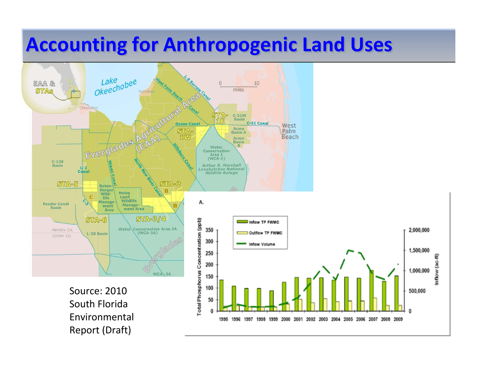# **Accounting Accounting for Anthropogenic Anthropogenic Land Uses**